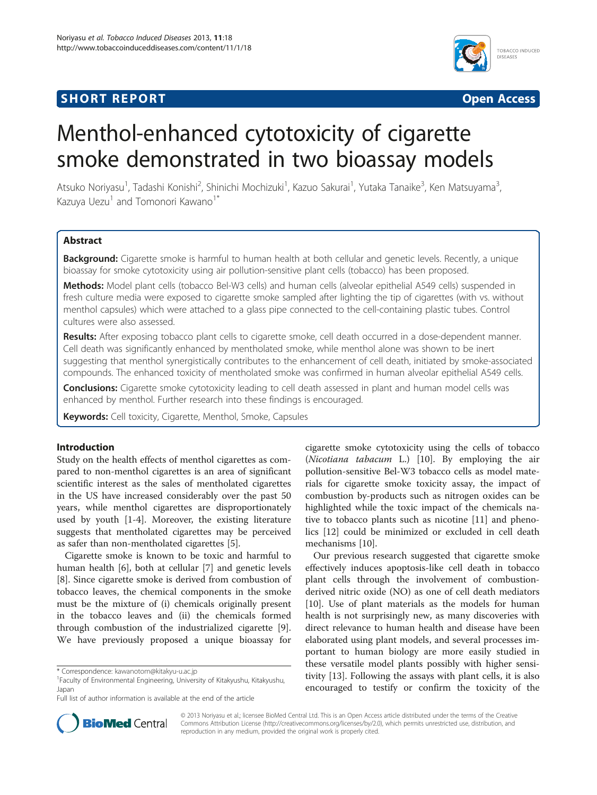## **SHORT REPORT SHORT CONSUMING THE SHORT CONSUMING THE SHORT CONSUMING THE SHORT CONSUMING THE SHORT CONSUMING THE SHORT CONSUMING THE SHORT CONSUMING THE SHORT CONSUMING THE SHORT CONSUMING THE SHORT CONSUMING THE SHORT**



# Menthol-enhanced cytotoxicity of cigarette smoke demonstrated in two bioassay models

Atsuko Noriyasu<sup>1</sup>, Tadashi Konishi<sup>2</sup>, Shinichi Mochizuki<sup>1</sup>, Kazuo Sakurai<sup>1</sup>, Yutaka Tanaike<sup>3</sup>, Ken Matsuyama<sup>3</sup> , Kazuya Uezu<sup>1</sup> and Tomonori Kawano<sup>1\*</sup>

## **Abstract**

Background: Cigarette smoke is harmful to human health at both cellular and genetic levels. Recently, a unique bioassay for smoke cytotoxicity using air pollution-sensitive plant cells (tobacco) has been proposed.

Methods: Model plant cells (tobacco Bel-W3 cells) and human cells (alveolar epithelial A549 cells) suspended in fresh culture media were exposed to cigarette smoke sampled after lighting the tip of cigarettes (with vs. without menthol capsules) which were attached to a glass pipe connected to the cell-containing plastic tubes. Control cultures were also assessed.

Results: After exposing tobacco plant cells to cigarette smoke, cell death occurred in a dose-dependent manner. Cell death was significantly enhanced by mentholated smoke, while menthol alone was shown to be inert suggesting that menthol synergistically contributes to the enhancement of cell death, initiated by smoke-associated compounds. The enhanced toxicity of mentholated smoke was confirmed in human alveolar epithelial A549 cells.

**Conclusions:** Cigarette smoke cytotoxicity leading to cell death assessed in plant and human model cells was enhanced by menthol. Further research into these findings is encouraged.

Keywords: Cell toxicity, Cigarette, Menthol, Smoke, Capsules

## Introduction

Study on the health effects of menthol cigarettes as compared to non-menthol cigarettes is an area of significant scientific interest as the sales of mentholated cigarettes in the US have increased considerably over the past 50 years, while menthol cigarettes are disproportionately used by youth [\[1](#page-3-0)-[4\]](#page-3-0). Moreover, the existing literature suggests that mentholated cigarettes may be perceived as safer than non-mentholated cigarettes [[5\]](#page-3-0).

Cigarette smoke is known to be toxic and harmful to human health [[6\]](#page-3-0), both at cellular [\[7\]](#page-3-0) and genetic levels [[8\]](#page-3-0). Since cigarette smoke is derived from combustion of tobacco leaves, the chemical components in the smoke must be the mixture of (i) chemicals originally present in the tobacco leaves and (ii) the chemicals formed through combustion of the industrialized cigarette [\[9](#page-3-0)]. We have previously proposed a unique bioassay for

cigarette smoke cytotoxicity using the cells of tobacco (Nicotiana tabacum L.) [\[10\]](#page-3-0). By employing the air pollution-sensitive Bel-W3 tobacco cells as model materials for cigarette smoke toxicity assay, the impact of combustion by-products such as nitrogen oxides can be highlighted while the toxic impact of the chemicals native to tobacco plants such as nicotine [[11\]](#page-3-0) and phenolics [[12](#page-3-0)] could be minimized or excluded in cell death mechanisms [\[10](#page-3-0)].

Our previous research suggested that cigarette smoke effectively induces apoptosis-like cell death in tobacco plant cells through the involvement of combustionderived nitric oxide (NO) as one of cell death mediators [[10\]](#page-3-0). Use of plant materials as the models for human health is not surprisingly new, as many discoveries with direct relevance to human health and disease have been elaborated using plant models, and several processes important to human biology are more easily studied in these versatile model plants possibly with higher sensitivity [\[13](#page-3-0)]. Following the assays with plant cells, it is also encouraged to testify or confirm the toxicity of the



© 2013 Noriyasu et al.; licensee BioMed Central Ltd. This is an Open Access article distributed under the terms of the Creative Commons Attribution License [\(http://creativecommons.org/licenses/by/2.0\)](http://creativecommons.org/licenses/by/2.0), which permits unrestricted use, distribution, and reproduction in any medium, provided the original work is properly cited.

<sup>\*</sup> Correspondence: [kawanotom@kitakyu-u.ac.jp](mailto:kawanotom@kitakyu-u.ac.jp) <sup>1</sup>

Faculty of Environmental Engineering, University of Kitakyushu, Kitakyushu, Japan

Full list of author information is available at the end of the article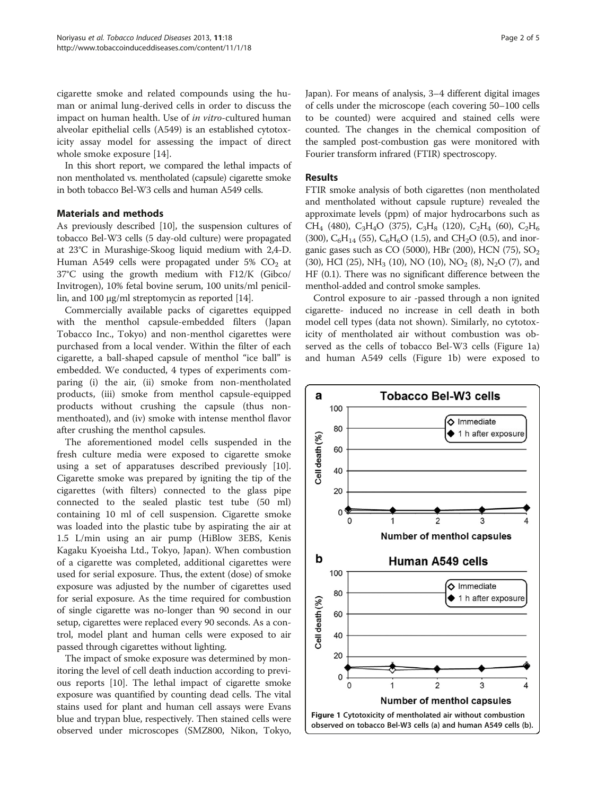cigarette smoke and related compounds using the human or animal lung-derived cells in order to discuss the impact on human health. Use of in vitro-cultured human alveolar epithelial cells (A549) is an established cytotoxicity assay model for assessing the impact of direct whole smoke exposure [\[14\]](#page-3-0).

In this short report, we compared the lethal impacts of non mentholated vs. mentholated (capsule) cigarette smoke in both tobacco Bel-W3 cells and human A549 cells.

## Materials and methods

As previously described [\[10\]](#page-3-0), the suspension cultures of tobacco Bel-W3 cells (5 day-old culture) were propagated at 23°C in Murashige-Skoog liquid medium with 2,4-D. Human A549 cells were propagated under 5%  $CO<sub>2</sub>$  at 37°C using the growth medium with F12/K (Gibco/ Invitrogen), 10% fetal bovine serum, 100 units/ml penicillin, and 100 μg/ml streptomycin as reported [\[14\]](#page-3-0).

Commercially available packs of cigarettes equipped with the menthol capsule-embedded filters (Japan Tobacco Inc., Tokyo) and non-menthol cigarettes were purchased from a local vender. Within the filter of each cigarette, a ball-shaped capsule of menthol "ice ball" is embedded. We conducted, 4 types of experiments comparing (i) the air, (ii) smoke from non-mentholated products, (iii) smoke from menthol capsule-equipped products without crushing the capsule (thus nonmenthoated), and (iv) smoke with intense menthol flavor after crushing the menthol capsules.

The aforementioned model cells suspended in the fresh culture media were exposed to cigarette smoke using a set of apparatuses described previously [\[10](#page-3-0)]. Cigarette smoke was prepared by igniting the tip of the cigarettes (with filters) connected to the glass pipe connected to the sealed plastic test tube (50 ml) containing 10 ml of cell suspension. Cigarette smoke was loaded into the plastic tube by aspirating the air at 1.5 L/min using an air pump (HiBlow 3EBS, Kenis Kagaku Kyoeisha Ltd., Tokyo, Japan). When combustion of a cigarette was completed, additional cigarettes were used for serial exposure. Thus, the extent (dose) of smoke exposure was adjusted by the number of cigarettes used for serial exposure. As the time required for combustion of single cigarette was no-longer than 90 second in our setup, cigarettes were replaced every 90 seconds. As a control, model plant and human cells were exposed to air passed through cigarettes without lighting.

The impact of smoke exposure was determined by monitoring the level of cell death induction according to previous reports [\[10](#page-3-0)]. The lethal impact of cigarette smoke exposure was quantified by counting dead cells. The vital stains used for plant and human cell assays were Evans blue and trypan blue, respectively. Then stained cells were observed under microscopes (SMZ800, Nikon, Tokyo, Japan). For means of analysis, 3–4 different digital images of cells under the microscope (each covering 50–100 cells to be counted) were acquired and stained cells were counted. The changes in the chemical composition of the sampled post-combustion gas were monitored with Fourier transform infrared (FTIR) spectroscopy.

### Results

FTIR smoke analysis of both cigarettes (non mentholated and mentholated without capsule rupture) revealed the approximate levels (ppm) of major hydrocarbons such as  $CH_4$  (480),  $C_3H_4O$  (375),  $C_3H_8$  (120),  $C_2H_4$  (60),  $C_2H_6$ (300),  $C_6H_{14}$  (55),  $C_6H_6O$  (1.5), and CH<sub>2</sub>O (0.5), and inorganic gases such as CO (5000), HBr (200), HCN (75),  $SO<sub>2</sub>$ (30), HCl (25), NH<sub>3</sub> (10), NO (10), NO<sub>2</sub> (8), N<sub>2</sub>O (7), and HF (0.1). There was no significant difference between the menthol-added and control smoke samples.

Control exposure to air -passed through a non ignited cigarette- induced no increase in cell death in both model cell types (data not shown). Similarly, no cytotoxicity of mentholated air without combustion was observed as the cells of tobacco Bel-W3 cells (Figure 1a) and human A549 cells (Figure 1b) were exposed to

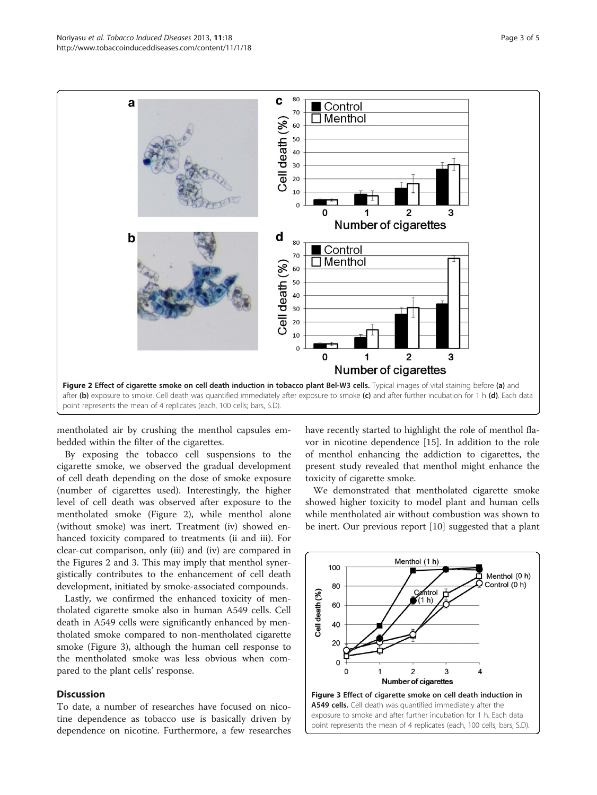

mentholated air by crushing the menthol capsules embedded within the filter of the cigarettes.

By exposing the tobacco cell suspensions to the cigarette smoke, we observed the gradual development of cell death depending on the dose of smoke exposure (number of cigarettes used). Interestingly, the higher level of cell death was observed after exposure to the mentholated smoke (Figure 2), while menthol alone (without smoke) was inert. Treatment (iv) showed enhanced toxicity compared to treatments (ii and iii). For clear-cut comparison, only (iii) and (iv) are compared in the Figures 2 and 3. This may imply that menthol synergistically contributes to the enhancement of cell death development, initiated by smoke-associated compounds.

Lastly, we confirmed the enhanced toxicity of mentholated cigarette smoke also in human A549 cells. Cell death in A549 cells were significantly enhanced by mentholated smoke compared to non-mentholated cigarette smoke (Figure 3), although the human cell response to the mentholated smoke was less obvious when compared to the plant cells' response.

## **Discussion**

To date, a number of researches have focused on nicotine dependence as tobacco use is basically driven by dependence on nicotine. Furthermore, a few researches have recently started to highlight the role of menthol flavor in nicotine dependence [[15](#page-3-0)]. In addition to the role of menthol enhancing the addiction to cigarettes, the present study revealed that menthol might enhance the toxicity of cigarette smoke.

We demonstrated that mentholated cigarette smoke showed higher toxicity to model plant and human cells while mentholated air without combustion was shown to be inert. Our previous report [[10\]](#page-3-0) suggested that a plant

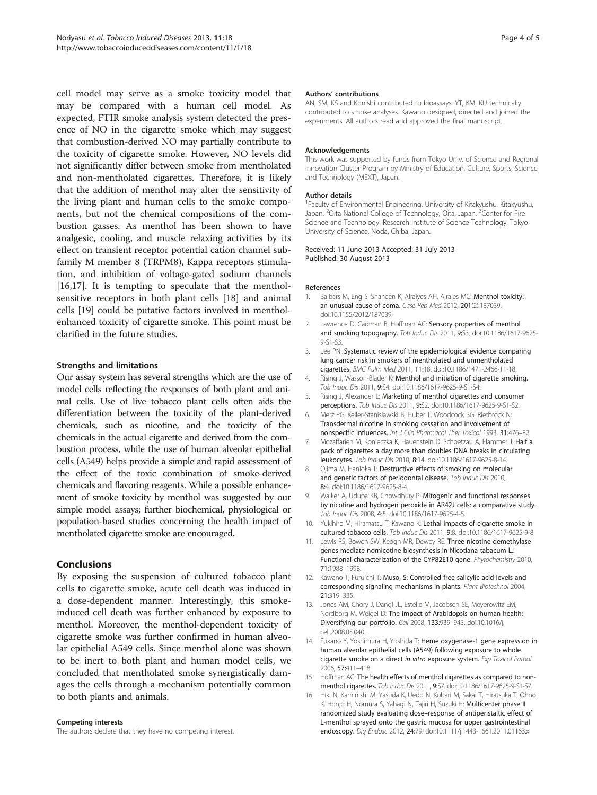<span id="page-3-0"></span>cell model may serve as a smoke toxicity model that may be compared with a human cell model. As expected, FTIR smoke analysis system detected the presence of NO in the cigarette smoke which may suggest that combustion-derived NO may partially contribute to the toxicity of cigarette smoke. However, NO levels did not significantly differ between smoke from mentholated and non-mentholated cigarettes. Therefore, it is likely that the addition of menthol may alter the sensitivity of the living plant and human cells to the smoke components, but not the chemical compositions of the combustion gasses. As menthol has been shown to have analgesic, cooling, and muscle relaxing activities by its effect on transient receptor potential cation channel subfamily M member 8 (TRPM8), Kappa receptors stimulation, and inhibition of voltage-gated sodium channels [16,[17\]](#page-4-0). It is tempting to speculate that the mentholsensitive receptors in both plant cells [[18](#page-4-0)] and animal cells [[19\]](#page-4-0) could be putative factors involved in mentholenhanced toxicity of cigarette smoke. This point must be clarified in the future studies.

## Strengths and limitations

Our assay system has several strengths which are the use of model cells reflecting the responses of both plant and animal cells. Use of live tobacco plant cells often aids the differentiation between the toxicity of the plant-derived chemicals, such as nicotine, and the toxicity of the chemicals in the actual cigarette and derived from the combustion process, while the use of human alveolar epithelial cells (A549) helps provide a simple and rapid assessment of the effect of the toxic combination of smoke-derived chemicals and flavoring reagents. While a possible enhancement of smoke toxicity by menthol was suggested by our simple model assays; further biochemical, physiological or population-based studies concerning the health impact of mentholated cigarette smoke are encouraged.

## Conclusions

By exposing the suspension of cultured tobacco plant cells to cigarette smoke, acute cell death was induced in a dose-dependent manner. Interestingly, this smokeinduced cell death was further enhanced by exposure to menthol. Moreover, the menthol-dependent toxicity of cigarette smoke was further confirmed in human alveolar epithelial A549 cells. Since menthol alone was shown to be inert to both plant and human model cells, we concluded that mentholated smoke synergistically damages the cells through a mechanism potentially common to both plants and animals.

#### Competing interests

The authors declare that they have no competing interest.

#### Authors' contributions

AN, SM, KS and Konishi contributed to bioassays. YT, KM, KU technically contributed to smoke analyses. Kawano designed, directed and joined the experiments. All authors read and approved the final manuscript.

#### Acknowledgements

This work was supported by funds from Tokyo Univ. of Science and Regional Innovation Cluster Program by Ministry of Education, Culture, Sports, Science and Technology (MEXT), Japan.

#### Author details

1 Faculty of Environmental Engineering, University of Kitakyushu, Kitakyushu, Japan. <sup>2</sup>Oita National College of Technology, Oita, Japan. <sup>3</sup>Center for Fire Science and Technology, Research Institute of Science Technology, Tokyo University of Science, Noda, Chiba, Japan.

#### Received: 11 June 2013 Accepted: 31 July 2013 Published: 30 August 2013

#### References

- 1. Baibars M, Eng S, Shaheen K, Alraiyes AH, Alraies MC: Menthol toxicity: an unusual cause of coma. Case Rep Med 2012, 201(2):187039. doi:10.1155/2012/187039.
- 2. Lawrence D, Cadman B, Hoffman AC: Sensory properties of menthol and smoking topography. Tob Induc Dis 2011, 9:S3. doi:10.1186/1617-9625- 9-S1-S3.
- 3. Lee PN: Systematic review of the epidemiological evidence comparing lung cancer risk in smokers of mentholated and unmentholated cigarettes. BMC Pulm Med 2011, 11:18. doi:10.1186/1471-2466-11-18.
- 4. Rising J, Wasson-Blader K: Menthol and initiation of cigarette smoking. Tob Induc Dis 2011, 9:S4. doi:10.1186/1617-9625-9-S1-S4.
- 5. Rising J, Alexander L: Marketing of menthol cigarettes and consumer perceptions. Tob Induc Dis 2011, 9:S2. doi:10.1186/1617-9625-9-S1-S2.
- 6. Merz PG, Keller-Stanislawski B, Huber T, Woodcock BG, Rietbrock N: Transdermal nicotine in smoking cessation and involvement of nonspecific influences. Int J Clin Pharmacol Ther Toxicol 1993, 31:476–82.
- 7. Mozaffarieh M, Konieczka K, Hauenstein D, Schoetzau A, Flammer J: Half a pack of cigarettes a day more than doubles DNA breaks in circulating leukocytes. Tob Induc Dis 2010, 8:14. doi:10.1186/1617-9625-8-14.
- 8. Ojima M, Hanioka T: Destructive effects of smoking on molecular and genetic factors of periodontal disease. Tob Induc Dis 2010, 8:4. doi:10.1186/1617-9625-8-4.
- 9. Walker A, Udupa KB, Chowdhury P: Mitogenic and functional responses by nicotine and hydrogen peroxide in AR42J cells: a comparative study. Tob Induc Dis 2008, 4:5. doi:10.1186/1617-9625-4-5.
- 10. Yukihiro M, Hiramatsu T, Kawano K: Lethal impacts of cigarette smoke in cultured tobacco cells. Tob Induc Dis 2011, 9:8. doi:10.1186/1617-9625-9-8.
- 11. Lewis RS, Bowen SW, Keogh MR, Dewey RE: Three nicotine demethylase genes mediate nornicotine biosynthesis in Nicotiana tabacum L.: Functional characterization of the CYP82E10 gene. Phytochemistry 2010, 71:1988–1998.
- 12. Kawano T, Furuichi T: Muso, S: Controlled free salicylic acid levels and corresponding signaling mechanisms in plants. Plant Biotechnol 2004, 21:319–335.
- 13. Jones AM, Chory J, Dangl JL, Estelle M, Jacobsen SE, Meyerowitz EM, Nordborg M, Weigel D: The impact of Arabidopsis on human health: Diversifying our portfolio. Cell 2008, 133:939–943. doi:10.1016/j. cell.2008.05.040.
- 14. Fukano Y, Yoshimura H, Yoshida T: Heme oxygenase-1 gene expression in human alveolar epithelial cells (A549) following exposure to whole cigarette smoke on a direct in vitro exposure system. Exp Toxicol Pathol 2006, 57:411–418.
- 15. Hoffman AC: The health effects of menthol cigarettes as compared to nonmenthol cigarettes. Tob Induc Dis 2011, 9:S7. doi:10.1186/1617-9625-9-S1-S7.
- 16. Hiki N, Kaminishi M, Yasuda K, Uedo N, Kobari M, Sakai T, Hiratsuka T, Ohno K, Honjo H, Nomura S, Yahagi N, Tajiri H, Suzuki H: Multicenter phase II randomized study evaluating dose–response of antiperistaltic effect of L-menthol sprayed onto the gastric mucosa for upper gastrointestinal endoscopy. Dig Endosc 2012, 24:79. doi:10.1111/j.1443-1661.2011.01163.x.